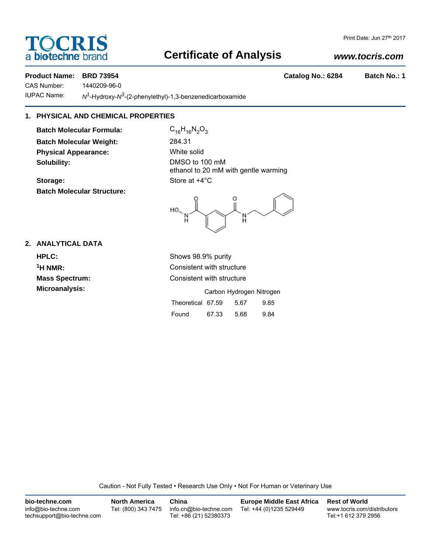## **DCRI** a **bio-techne** brand

### **Certificate of Analysis**

#### *www.tocris.com*

#### **Product Name: BRD 73954 Catalog No.: 6284 Batch No.: 1**

CAS Number: 1440209-96-0

IUPAC Name: *N1*-Hydroxy-*N3*-(2-phenylethyl)-1,3-benzenedicarboxamide

#### **1. PHYSICAL AND CHEMICAL PROPERTIES**

**Batch Molecular Formula:** C<sub>16</sub>H<sub>16</sub>N<sub>2</sub>O<sub>3</sub> **Batch Molecular Weight:** 284.31 **Physical Appearance:** White solid **Solubility:** DMSO to 100 mM

**Storage:** Store at  $+4^{\circ}$ C **Batch Molecular Structure:**

ethanol to 20 mM with gentle warming

HO, 'n

#### **2. ANALYTICAL DATA**

**Mass Spectrum:** Consistent with structure

**HPLC:** Shows 98.9% purity **1H NMR:** Consistent with structure

**Microanalysis:** Microanalysis: **Carbon Hydrogen Nitrogen** Theoretical 67.59 5.67 9.85 Found 67.33 5.68 9.84

Caution - Not Fully Tested • Research Use Only • Not For Human or Veterinary Use

| bio-techne.com                                    | <b>North America</b> | China                                            | <b>Europe Middle East Africa</b> | <b>Rest of World</b>                               |
|---------------------------------------------------|----------------------|--------------------------------------------------|----------------------------------|----------------------------------------------------|
| info@bio-techne.com<br>techsupport@bio-techne.com | Tel: (800) 343 7475  | info.cn@bio-techne.com<br>Tel: +86 (21) 52380373 | Tel: +44 (0)1235 529449          | www.tocris.com/distributors<br>Tel:+1 612 379 2956 |